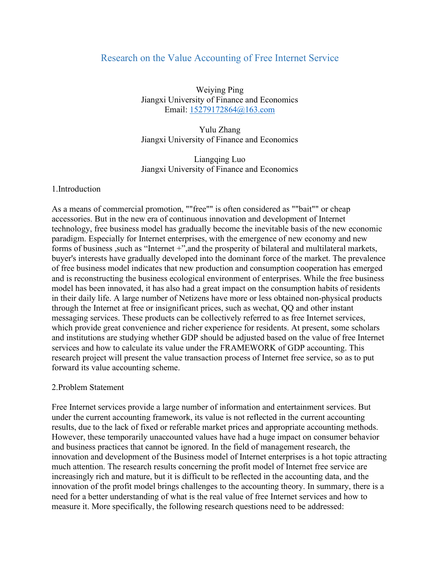# Research on the Value Accounting of Free Internet Service

Weiying Ping Jiangxi University of Finance and Economics Email: 15279172864@163.com

Yulu Zhang Jiangxi University of Finance and Economics

Liangqing Luo Jiangxi University of Finance and Economics

#### 1.Introduction

As a means of commercial promotion, ""free"" is often considered as ""bait"" or cheap accessories. But in the new era of continuous innovation and development of Internet technology, free business model has gradually become the inevitable basis of the new economic paradigm. Especially for Internet enterprises, with the emergence of new economy and new forms of business, such as "Internet +", and the prosperity of bilateral and multilateral markets, buyer's interests have gradually developed into the dominant force of the market. The prevalence of free business model indicates that new production and consumption cooperation has emerged and is reconstructing the business ecological environment of enterprises. While the free business model has been innovated, it has also had a great impact on the consumption habits of residents in their daily life. A large number of Netizens have more or less obtained non-physical products through the Internet at free or insignificant prices, such as wechat, QQ and other instant messaging services. These products can be collectively referred to as free Internet services, which provide great convenience and richer experience for residents. At present, some scholars and institutions are studying whether GDP should be adjusted based on the value of free Internet services and how to calculate its value under the FRAMEWORK of GDP accounting. This research project will present the value transaction process of Internet free service, so as to put forward its value accounting scheme.

#### 2.Problem Statement

Free Internet services provide a large number of information and entertainment services. But under the current accounting framework, its value is not reflected in the current accounting results, due to the lack of fixed or referable market prices and appropriate accounting methods. However, these temporarily unaccounted values have had a huge impact on consumer behavior and business practices that cannot be ignored. In the field of management research, the innovation and development of the Business model of Internet enterprises is a hot topic attracting much attention. The research results concerning the profit model of Internet free service are increasingly rich and mature, but it is difficult to be reflected in the accounting data, and the innovation of the profit model brings challenges to the accounting theory. In summary, there is a need for a better understanding of what is the real value of free Internet services and how to measure it. More specifically, the following research questions need to be addressed: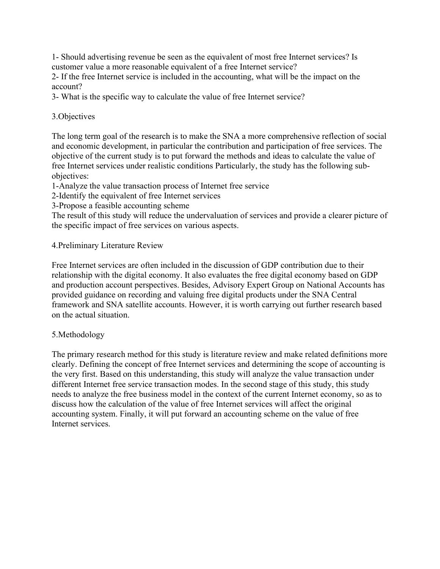1- Should advertising revenue be seen as the equivalent of most free Internet services? Is customer value a more reasonable equivalent of a free Internet service?

2- If the free Internet service is included in the accounting, what will be the impact on the account?

3- What is the specific way to calculate the value of free Internet service?

# 3.Objectives

The long term goal of the research is to make the SNA a more comprehensive reflection of social and economic development, in particular the contribution and participation of free services. The objective of the current study is to put forward the methods and ideas to calculate the value of free Internet services under realistic conditions Particularly, the study has the following subobjectives:

1-Analyze the value transaction process of Internet free service

2-Identify the equivalent of free Internet services

3-Propose a feasible accounting scheme

The result of this study will reduce the undervaluation of services and provide a clearer picture of the specific impact of free services on various aspects.

# 4.Preliminary Literature Review

Free Internet services are often included in the discussion of GDP contribution due to their relationship with the digital economy. It also evaluates the free digital economy based on GDP and production account perspectives. Besides, Advisory Expert Group on National Accounts has provided guidance on recording and valuing free digital products under the SNA Central framework and SNA satellite accounts. However, it is worth carrying out further research based on the actual situation.

#### 5.Methodology

The primary research method for this study is literature review and make related definitions more clearly. Defining the concept of free Internet services and determining the scope of accounting is the very first. Based on this understanding, this study will analyze the value transaction under different Internet free service transaction modes. In the second stage of this study, this study needs to analyze the free business model in the context of the current Internet economy, so as to discuss how the calculation of the value of free Internet services will affect the original accounting system. Finally, it will put forward an accounting scheme on the value of free Internet services.